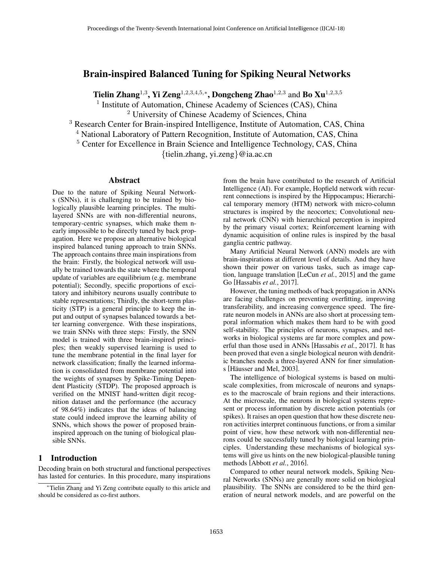# Brain-inspired Balanced Tuning for Spiking Neural Networks

Tielin Zhang<sup>1,3</sup>, Yi Zeng<sup>1,2,3,4,5,\*</sup>, Dongcheng Zhao<sup>1,2,3</sup> and Bo Xu<sup>1,2,3,5</sup>

<sup>1</sup> Institute of Automation, Chinese Academy of Sciences (CAS), China

<sup>2</sup> University of Chinese Academy of Sciences, China

<sup>3</sup> Research Center for Brain-inspired Intelligence, Institute of Automation, CAS, China

<sup>4</sup> National Laboratory of Pattern Recognition, Institute of Automation, CAS, China

<sup>5</sup> Center for Excellence in Brain Science and Intelligence Technology, CAS, China

{tielin.zhang, yi.zeng}@ia.ac.cn

## Abstract

Due to the nature of Spiking Neural Networks (SNNs), it is challenging to be trained by biologically plausible learning principles. The multilayered SNNs are with non-differential neurons, temporary-centric synapses, which make them nearly impossible to be directly tuned by back propagation. Here we propose an alternative biological inspired balanced tuning approach to train SNNs. The approach contains three main inspirations from the brain: Firstly, the biological network will usually be trained towards the state where the temporal update of variables are equilibrium (e.g. membrane potential); Secondly, specific proportions of excitatory and inhibitory neurons usually contribute to stable representations; Thirdly, the short-term plasticity (STP) is a general principle to keep the input and output of synapses balanced towards a better learning convergence. With these inspirations, we train SNNs with three steps: Firstly, the SNN model is trained with three brain-inspired principles; then weakly supervised learning is used to tune the membrane potential in the final layer for network classification; finally the learned information is consolidated from membrane potential into the weights of synapses by Spike-Timing Dependent Plasticity (STDP). The proposed approach is verified on the MNIST hand-written digit recognition dataset and the performance (the accuracy of 98.64%) indicates that the ideas of balancing state could indeed improve the learning ability of SNNs, which shows the power of proposed braininspired approach on the tuning of biological plausible SNNs.

#### 1 Introduction

Decoding brain on both structural and functional perspectives has lasted for centuries. In this procedure, many inspirations from the brain have contributed to the research of Artificial Intelligence (AI). For example, Hopfield network with recurrent connections is inspired by the Hippocampus; Hierarchical temporary memory (HTM) network with micro-column structures is inspired by the neocortex; Convolutional neural network (CNN) with hierarchical perception is inspired by the primary visual cortex; Reinforcement learning with dynamic acquisition of online rules is inspired by the basal ganglia centric pathway.

Many Artificial Neural Network (ANN) models are with brain-inspirations at different level of details. And they have shown their power on various tasks, such as image caption, language translation [LeCun *et al.*, 2015] and the game Go [Hassabis *et al.*, 2017].

However, the tuning methods of back propagation in ANNs are facing challenges on preventing overfitting, improving transferability, and increasing convergence speed. The firerate neuron models in ANNs are also short at processing temporal information which makes them hard to be with good self-stability. The principles of neurons, synapses, and networks in biological systems are far more complex and powerful than those used in ANNs [Hassabis *et al.*, 2017]. It has been proved that even a single biological neuron with dendritic branches needs a three-layered ANN for finer simulations [Häusser and Mel, 2003].

The intelligence of biological systems is based on multiscale complexities, from microscale of neurons and synapses to the macroscale of brain regions and their interactions. At the microscale, the neurons in biological systems represent or process information by discrete action potentials (or spikes). It raises an open question that how these discrete neuron activities interpret continuous functions, or from a similar point of view, how these network with non-differential neurons could be successfully tuned by biological learning principles. Understanding these mechanisms of biological systems will give us hints on the new biological-plausible tuning methods [Abbott *et al.*, 2016].

Compared to other neural network models, Spiking Neural Networks (SNNs) are generally more solid on biological plausibility. The SNNs are considered to be the third generation of neural network models, and are powerful on the

<sup>∗</sup>Tielin Zhang and Yi Zeng contribute equally to this article and should be considered as co-first authors.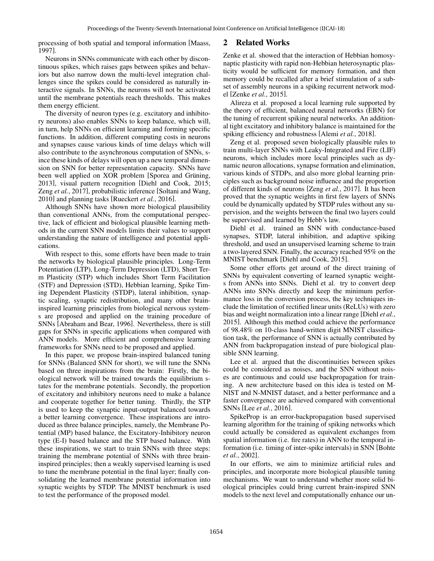processing of both spatial and temporal information [Maass, 1997].

Neurons in SNNs communicate with each other by discontinuous spikes, which raises gaps between spikes and behaviors but also narrow down the multi-level integration challenges since the spikes could be considered as naturally interactive signals. In SNNs, the neurons will not be activated until the membrane potentials reach thresholds. This makes them energy efficient.

The diversity of neuron types (e.g. excitatory and inhibitory neurons) also enables SNNs to keep balance, which will, in turn, help SNNs on efficient learning and forming specific functions. In addition, different computing costs in neurons and synapses cause various kinds of time delays which will also contribute to the asynchronous computation of SNNs, since these kinds of delays will open up a new temporal dimension on SNN for better representation capacity. SNNs have been well applied on XOR problem [Sporea and Grüning, 2013], visual pattern recognition [Diehl and Cook, 2015; Zeng *et al.*, 2017], probabilistic inference [Soltani and Wang, 2010] and planning tasks [Rueckert *et al.*, 2016].

Although SNNs have shown more biological plausibility than conventional ANNs, from the computational perspective, lack of efficient and biological plausible learning methods in the current SNN models limits their values to support understanding the nature of intelligence and potential applications.

With respect to this, some efforts have been made to train the networks by biological plausible principles. Long-Term Potentiation (LTP), Long-Term Depression (LTD), Short Term Plasticity (STP) which includes Short Term Facilitation (STF) and Depression (STD), Hebbian learning, Spike Timing Dependent Plasticity (STDP), lateral inhibition, synaptic scaling, synaptic redistribution, and many other braininspired learning principles from biological nervous systems are proposed and applied on the training procedure of SNNs [Abraham and Bear, 1996]. Nevertheless, there is still gaps for SNNs in specific applications when compared with ANN models. More efficient and comprehensive learning frameworks for SNNs need to be proposed and applied.

In this paper, we propose brain-inspired balanced tuning for SNNs (Balanced SNN for short), we will tune the SNNs based on three inspirations from the brain: Firstly, the biological network will be trained towards the equilibrium states for the membrane potentials. Secondly, the proportion of excitatory and inhibitory neurons need to make a balance and cooperate together for better tuning. Thirdly, the STP is used to keep the synaptic input-output balanced towards a better learning convergence. These inspirations are introduced as three balance principles, namely, the Membrane Potential (MP) based balance, the Excitatory-Inhibitory neuron type (E-I) based balance and the STP based balance. With these inspirations, we start to train SNNs with three steps: training the membrane potential of SNNs with three braininspired principles; then a weakly supervised learning is used to tune the membrane potential in the final layer; finally consolidating the learned membrane potential information into synaptic weights by STDP. The MNIST benchmark is used to test the performance of the proposed model.

# 2 Related Works

Zenke et al. showed that the interaction of Hebbian homosynaptic plasticity with rapid non-Hebbian heterosynaptic plasticity would be sufficient for memory formation, and then memory could be recalled after a brief stimulation of a subset of assembly neurons in a spiking recurrent network model [Zenke *et al.*, 2015].

Alireza et al. proposed a local learning rule supported by the theory of efficient, balanced neural networks (EBN) for the tuning of recurrent spiking neural networks. An additional tight excitatory and inhibitory balance is maintained for the spiking efficiency and robustness [Alemi *et al.*, 2018].

Zeng et al. proposed seven biologically plausible rules to train multi-layer SNNs with Leaky-Integrated and Fire (LIF) neurons, which includes more local principles such as dynamic neuron allocations, synapse formation and elimination, various kinds of STDPs, and also more global learning principles such as background noise influence and the proportion of different kinds of neurons [Zeng *et al.*, 2017]. It has been proved that the synaptic weights in first few layers of SNNs could be dynamically updated by STDP rules without any supervision, and the weights between the final two layers could be supervised and learned by Hebb's law.

Diehl et al. trained an SNN with conductance-based synapses, STDP, lateral inhibition, and adaptive spiking threshold, and used an unsupervised learning scheme to train a two-layered SNN. Finally, the accuracy reached 95% on the MNIST benchmark [Diehl and Cook, 2015].

Some other efforts get around of the direct training of SNNs by equivalent converting of learned synaptic weights from ANNs into SNNs. Diehl et al. try to convert deep ANNs into SNNs directly and keep the minimum performance loss in the conversion process, the key techniques include the limitation of rectified linear units (ReLUs) with zero bias and weight normalization into a linear range [Diehl *et al.*, 2015]. Although this method could achieve the performance of 98.48% on 10-class hand-written digit MNIST classification task, the performance of SNN is actually contributed by ANN from backpropagation instead of pure biological plausible SNN learning.

Lee et al. argued that the discontinuities between spikes could be considered as noises, and the SNN without noises are continuous and could use backpropagation for training. A new architecture based on this idea is tested on M-NIST and N-MNIST dataset, and a better performance and a faster convergence are achieved compared with conventional SNNs [Lee *et al.*, 2016].

SpikeProp is an error-backpropagation based supervised learning algorithm for the training of spiking networks which could actually be considered as equivalent exchanges from spatial information (i.e. fire rates) in ANN to the temporal information (i.e. timing of inter-spike intervals) in SNN [Bohte *et al.*, 2002].

In our efforts, we aim to minimize artificial rules and principles, and incorporate more biological plausible tuning mechanisms. We want to understand whether more solid biological principles could bring current brain-inspired SNN models to the next level and computationally enhance our un-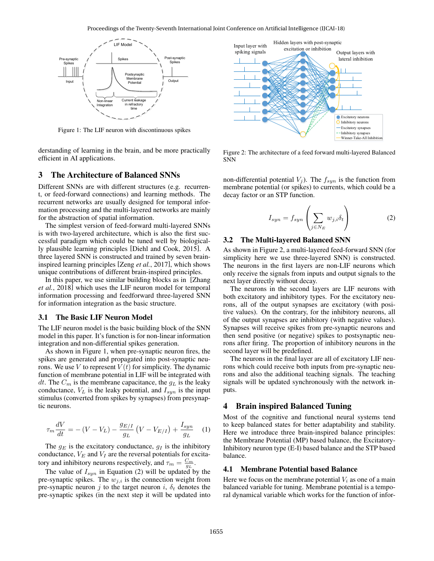

Figure 1: The LIF neuron with discontinuous spikes

derstanding of learning in the brain, and be more practically efficient in AI applications.

#### 3 The Architecture of Balanced SNNs

Different SNNs are with different structures (e.g. recurrent, or feed-forward connections) and learning methods. The recurrent networks are usually designed for temporal information processing and the multi-layered networks are mainly for the abstraction of spatial information.

The simplest version of feed-forward multi-layered SNNs is with two-layered architecture, which is also the first successful paradigm which could be tuned well by biologically plausible learning principles [Diehl and Cook, 2015]. A three layered SNN is constructed and trained by seven braininspired learning principles [Zeng *et al.*, 2017], which shows unique contributions of different brain-inspired principles.

In this paper, we use similar building blocks as in [Zhang *et al.*, 2018] which uses the LIF neuron model for temporal information processing and feedforward three-layered SNN for information integration as the basic structure.

#### 3.1 The Basic LIF Neuron Model

The LIF neuron model is the basic building block of the SNN model in this paper. It's function is for non-linear information integration and non-differential spikes generation.

As shown in Figure 1, when pre-synaptic neuron fires, the spikes are generated and propagated into post-synaptic neurons. We use V to represent  $V(t)$  for simplicity. The dynamic function of membrane potential in LIF will be integrated with dt. The  $C_m$  is the membrane capacitance, the  $g_L$  is the leaky conductance,  $V_L$  is the leaky potential, and  $I_{syn}$  is the input stimulus (converted from spikes by synapses) from presynaptic neurons.

$$
\tau_m \frac{dV}{dt} = -\left(V - V_L\right) - \frac{g_{E/I}}{g_L} \left(V - V_{E/I}\right) + \frac{I_{syn}}{g_L} \tag{1}
$$

The  $g_E$  is the excitatory conductance,  $g_I$  is the inhibitory conductance,  $V_E$  and  $V_I$  are the reversal potentials for excitatory and inhibitory neurons respectively, and  $\tau_m = \frac{C_m}{g_L}$ .

The value of  $I_{syn}$  in Equation (2) will be updated by the pre-synaptic spikes. The  $w_{i,i}$  is the connection weight from pre-synaptic neuron j to the target neuron i,  $\delta_t$  denotes the pre-synaptic spikes (in the next step it will be updated into



Figure 2: The architecture of a feed forward multi-layered Balanced SNN

non-differential potential  $V_j$ ). The  $f_{syn}$  is the function from membrane potential (or spikes) to currents, which could be a decay factor or an STP function.

$$
I_{syn} = f_{syn} \left( \sum_{j \in N_E} w_{j,i} \delta_t \right) \tag{2}
$$

#### 3.2 The Multi-layered Balanced SNN

As shown in Figure 2, a multi-layered feed-forward SNN (for simplicity here we use three-layered SNN) is constructed. The neurons in the first layers are non-LIF neurons which only receive the signals from inputs and output signals to the next layer directly without decay.

The neurons in the second layers are LIF neurons with both excitatory and inhibitory types. For the excitatory neurons, all of the output synapses are excitatory (with positive values). On the contrary, for the inhibitory neurons, all of the output synapses are inhibitory (with negative values). Synapses will receive spikes from pre-synaptic neurons and then send positive (or negative) spikes to postsynaptic neurons after firing. The proportion of inhibitory neurons in the second layer will be predefined.

The neurons in the final layer are all of excitatory LIF neurons which could receive both inputs from pre-synaptic neurons and also the additional teaching signals. The teaching signals will be updated synchronously with the network inputs.

## 4 Brain inspired Balanced Tuning

Most of the cognitive and functional neural systems tend to keep balanced states for better adaptability and stability. Here we introduce three brain-inspired balance principles: the Membrane Potential (MP) based balance, the Excitatory-Inhibitory neuron type (E-I) based balance and the STP based balance.

#### 4.1 Membrane Potential based Balance

Here we focus on the membrane potential  $V_i$  as one of a main balanced variable for tuning. Membrane potential is a temporal dynamical variable which works for the function of infor-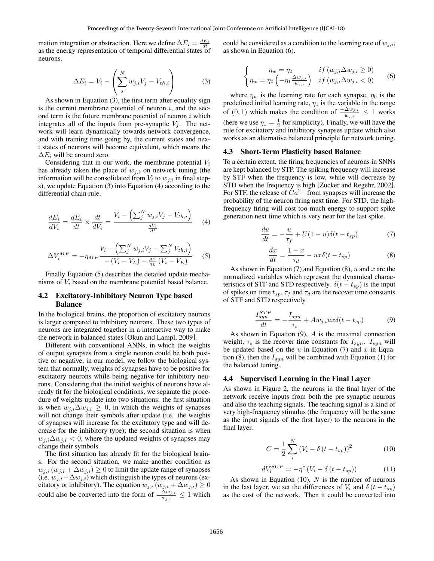mation integration or abstraction. Here we define  $\Delta E_i = \frac{dE_i}{dt}$ as the energy representation of temporal differential states of neurons.

$$
\Delta E_i = V_i - \left(\sum_j^N w_{j,i} V_j - V_{th,i}\right) \tag{3}
$$

As shown in Equation (3), the first term after equality sign is the current membrane potential of neuron  $i$ , and the second term is the future membrane potential of neuron  $i$  which integrates all of the inputs from pre-synaptic  $V_j$ . The network will learn dynamically towards network convergence, and with training time going by, the current states and next states of neurons will become equivalent, which means the  $\Delta E_i$  will be around zero.

Considering that in our work, the membrane potential  $V_i$ has already taken the place of  $w_{j,i}$  on network tuning (the information will be consolidated from  $V_i$  to  $w_{j,i}$  in final steps), we update Equation (3) into Equation (4) according to the differential chain rule.

$$
\frac{dE_i}{dV_i} = \frac{dE_i}{dt} \times \frac{dt}{dV_i} = \frac{V_i - \left(\sum_j^N w_{j,i} V_j - V_{th,i}\right)}{\frac{dV_i}{dt}} \tag{4}
$$

$$
\Delta V_i^{MP} = -\eta_{MP} \frac{V_i - \left(\sum_{j}^{N} w_{j,i} V_j - \sum_{j}^{N} V_{th,i}\right)}{-\left(V_i - V_L\right) - \frac{q_E}{q_L} \left(V_i - V_E\right)} \tag{5}
$$

Finally Equation (5) describes the detailed update mechanisms of  $V_i$  based on the membrane potential based balance.

## 4.2 Excitatory-Inhibitory Neuron Type based Balance

In the biological brains, the proportion of excitatory neurons is larger compared to inhibitory neurons. These two types of neurons are integrated together in a interactive way to make the network in balanced states [Okun and Lampl, 2009].

Different with conventional ANNs, in which the weights of output synapses from a single neuron could be both positive or negative, in our model, we follow the biological system that normally, weights of synapses have to be positive for excitatory neurons while being negative for inhibitory neurons. Considering that the initial weights of neurons have already fit for the biological conditions, we separate the procedure of weights update into two situations: the first situation is when  $w_{j,i} \Delta w_{j,i} \geq 0$ , in which the weights of synapses will not change their symbols after update (i.e. the weights of synapses will increase for the excitatory type and will decrease for the inhibitory type); the second situation is when  $w_{j,i}\Delta w_{j,i} < 0$ , where the updated weights of synapses may change their symbols.

The first situation has already fit for the biological brains. For the second situation, we make another condition as  $w_{j,i}$  ( $w_{j,i} + \Delta w_{j,i}$ ) ≥ 0 to limit the update range of synapses (i.e.  $w_{j,i}+\Delta w_{j,i}$ ) which distinguish the types of neurons (excitatory or inhibitory). The equation  $w_{j,i}$   $(w_{j,i} + \Delta w_{j,i}) \geq 0$ could also be converted into the form of  $\frac{-\Delta w_{j,i}}{w_{j,i}} \leq 1$  which could be considered as a condition to the learning rate of  $w_{i,i}$ , as shown in Equation (6).

$$
\begin{cases}\n\eta_w = \eta_0 & if (w_{j,i} \Delta w_{j,i} \ge 0) \\
\eta_w = \eta_0 \left( -\eta_1 \frac{\Delta w_{j,i}}{w_{j,i}} \right) & if (w_{j,i} \Delta w_{j,i} < 0)\n\end{cases}
$$
\n(6)

where  $\eta_w$  is the learning rate for each synapse,  $\eta_0$  is the predefined initial learning rate,  $\eta_1$  is the variable in the range of  $(0, 1)$  which makes the condition of  $\frac{-\Delta w_{j,i}}{w_{j,i}} \leq 1$  works (here we use  $\eta_1 = \frac{1}{2}$  for simplicity). Finally, we will have the rule for excitatory and inhibitory synapses update which also works as an alternative balanced principle for network tuning.

#### 4.3 Short-Term Plasticity based Balance

To a certain extent, the firing frequencies of neurons in SNNs are kept balanced by STP. The spiking frequency will increase by STF when the frequency is low, while will decrease by STD when the frequency is high [Zucker and Regehr, 2002]. For STF, the release of  $Ca^{2+}$  from synapses will increase the probability of the neuron firing next time. For STD, the highfrequency firing will cost too much energy to support spike generation next time which is very near for the last spike.

$$
\frac{du}{dt} = -\frac{u}{\tau_f} + U(1-u)\delta(t - t_{sp})\tag{7}
$$

$$
\frac{dx}{dt} = \frac{1-x}{\tau_d} - ux\delta(t - t_{sp})\tag{8}
$$

As shown in Equation (7) and Equation (8), u and x are the normalized variables which represent the dynamical characteristics of STF and STD respectively.  $\delta(t - t_{sp})$  is the input of spikes on time  $t_{sp}$ ,  $\tau_f$  and  $\tau_d$  are the recover time constants of STF and STD respectively.

$$
\frac{I_{syn}^{STP}}{dt} = -\frac{I_{syn}}{\tau_s} + Aw_{j,i}ux\delta(t - t_{sp})
$$
(9)

As shown in Equation  $(9)$ , A is the maximal connection weight,  $\tau_s$  is the recover time constants for  $I_{syn}$ .  $I_{syn}$  will be updated based on the  $u$  in Equation (7) and  $x$  in Equation (8), then the  $I_{syn}$  will be combined with Equation (1) for the balanced tuning.

#### 4.4 Supervised Learning in the Final Layer

As shown in Figure 2, the neurons in the final layer of the network receive inputs from both the pre-synaptic neurons and also the teaching signals. The teaching signal is a kind of very high-frequency stimulus (the frequency will be the same as the input signals of the first layer) to the neurons in the final layer.

$$
C = \frac{1}{2} \sum_{i}^{N} (V_i - \delta (t - t_{sp}))^2
$$
 (10)

$$
dV_i^{SUP} = -\eta^c \left( V_i - \delta \left( t - t_{sp} \right) \right) \tag{11}
$$

As shown in Equation  $(10)$ , N is the number of neurons in the last layer, we set the differences of  $V_i$  and  $\delta(t - t_{sp})$ as the cost of the network. Then it could be converted into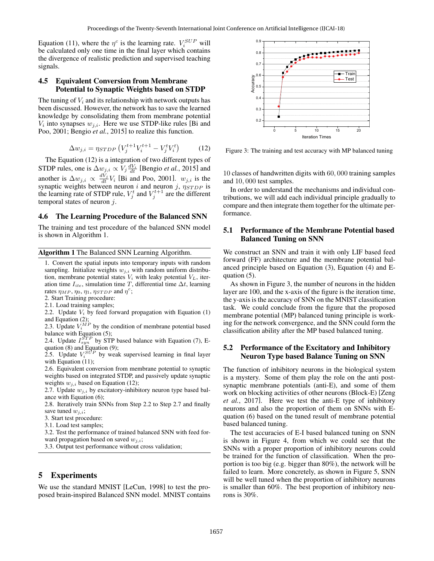Equation (11), where the  $\eta^c$  is the learning rate.  $V_i^{SUP}$  will be calculated only one time in the final layer which contains the divergence of realistic prediction and supervised teaching signals.

## 4.5 Equivalent Conversion from Membrane Potential to Synaptic Weights based on STDP

The tuning of  $V_i$  and its relationship with network outputs has been discussed. However, the network has to save the learned knowledge by consolidating them from membrane potential  $V_i$  into synapses  $w_{j,i}$ . Here we use STDP-like rules [Bi and Poo, 2001; Bengio *et al.*, 2015] to realize this function.

$$
\Delta w_{j,i} = \eta_{STDP} \left( V_j^{t+1} V_i^{t+1} - V_j^t V_i^t \right) \tag{12}
$$

The Equation (12) is a integration of two different types of STDP rules, one is  $\Delta w_{j,i} \propto V_j \frac{dV_i}{dt}$  [Bengio *et al.*, 2015] and another is  $\Delta w_{j,i} \propto \frac{dV_j}{dt} V_i$  [Bi and Poo, 2001].  $w_{j,i}$  is the synaptic weights between neuron i and neuron j,  $\eta_{STDP}$  is the learning rate of STDP rule,  $V_j^t$  and  $V_j^{t+1}$  are the different temporal states of neuron  $j$ .

#### 4.6 The Learning Procedure of the Balanced SNN

The training and test procedure of the balanced SNN model is shown in Algorithm 1.

Algorithm 1 The Balanced SNN Learning Algorithm.

1. Convert the spatial inputs into temporary inputs with random sampling. Initialize weights  $w_{i,i}$  with random uniform distribution, membrane potential states  $V_i$  with leaky potential  $V_L$ , iteration time  $I_{ite}$ , simulation time T, differential time  $\Delta t$ , learning rates  $\eta_{MP}, \eta_0, \eta_1, \eta_{STDP}$  and  $\eta^c$ ;

2. Start Training procedure:

2.1. Load training samples;

2.2. Update  $V_i$  by feed forward propagation with Equation  $(1)$ and Equation (2);

2.3. Update  $V_i^{MP}$  by the condition of membrane potential based balance with Equation (5);

2.4. Update  $I_{syn}^{STP}$  by STP based balance with Equation (7), Equation (8) and Equation (9);

2.5. Update  $V_i^{SUP}$  by weak supervised learning in final layer with Equation (11);

2.6. Equivalent conversion from membrane potential to synaptic weights based on integrated STDP, and passively update synaptic weights  $w_{i,i}$  based on Equation (12);

2.7. Update  $w_{i,i}$  by excitatory-inhibitory neuron type based balance with Equation (6);

2.8. Iteratively train SNNs from Step 2.2 to Step 2.7 and finally save tuned  $w_{i,i}$ ;

3. Start test procedure:

3.1. Load test samples;

3.2. Test the performance of trained balanced SNN with feed forward propagation based on saved  $w_{i,i}$ ;

3.3. Output test performance without cross validation;

## 5 Experiments

We use the standard MNIST [LeCun, 1998] to test the proposed brain-inspired Balanced SNN model. MNIST contains



Figure 3: The training and test accuracy with MP balanced tuning

10 classes of handwritten digits with 60, 000 training samples and 10, 000 test samples.

In order to understand the mechanisms and individual contributions, we will add each individual principle gradually to compare and then integrate them together for the ultimate performance.

## 5.1 Performance of the Membrane Potential based Balanced Tuning on SNN

We construct an SNN and train it with only LIF based feed forward (FF) architecture and the membrane potential balanced principle based on Equation (3), Equation (4) and Equation (5).

As shown in Figure 3, the number of neurons in the hidden layer are 100, and the x-axis of the figure is the iteration time, the y-axis is the accuracy of SNN on the MNIST classification task. We could conclude from the figure that the proposed membrane potential (MP) balanced tuning principle is working for the network convergence, and the SNN could form the classification ability after the MP based balanced tuning.

#### 5.2 Performance of the Excitatory and Inhibitory Neuron Type based Balance Tuning on SNN

The function of inhibitory neurons in the biological system is a mystery. Some of them play the role on the anti postsynaptic membrane potentials (anti-E), and some of them work on blocking activities of other neurons (Block-E) [Zeng *et al.*, 2017]. Here we test the anti-E type of inhibitory neurons and also the proportion of them on SNNs with Equation (6) based on the tuned result of membrane potential based balanced tuning.

The test accuracies of E-I based balanced tuning on SNN is shown in Figure 4, from which we could see that the SNNs with a proper proportion of inhibitory neurons could be trained for the function of classification. When the proportion is too big (e.g. bigger than 80%), the network will be failed to learn. More concretely, as shown in Figure 5, SNN will be well tuned when the proportion of inhibitory neurons is smaller than 60%. The best proportion of inhibitory neurons is 30%.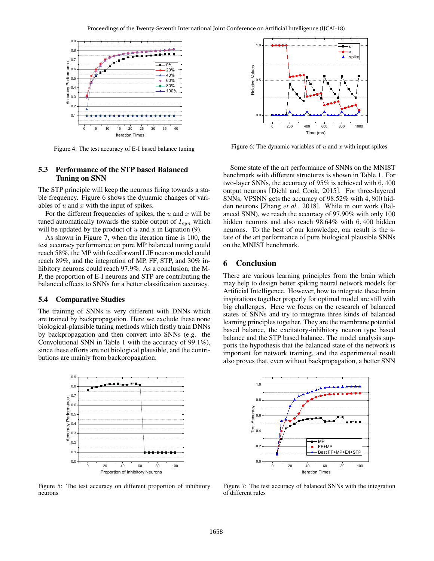

Figure 4: The test accuracy of E-I based balance tuning

## 5.3 Performance of the STP based Balanced Tuning on SNN

The STP principle will keep the neurons firing towards a stable frequency. Figure 6 shows the dynamic changes of variables of  $u$  and  $x$  with the input of spikes.

For the different frequencies of spikes, the  $u$  and  $x$  will be tuned automatically towards the stable output of  $I_{syn}$  which will be updated by the product of  $u$  and  $x$  in Equation (9).

As shown in Figure 7, when the iteration time is 100, the test accuracy performance on pure MP balanced tuning could reach 58%, the MP with feedforward LIF neuron model could reach 89%, and the integration of MP, FF, STP, and 30% inhibitory neurons could reach 97.9%. As a conclusion, the M-P, the proportion of E-I neurons and STP are contributing the balanced effects to SNNs for a better classification accuracy.

#### 5.4 Comparative Studies

The training of SNNs is very different with DNNs which are trained by backpropagation. Here we exclude these none biological-plausible tuning methods which firstly train DNNs by backpropagation and then convert into SNNs (e.g. the Convolutional SNN in Table 1 with the accuracy of 99.1%), since these efforts are not biological plausible, and the contributions are mainly from backpropagation.



Figure 5: The test accuracy on different proportion of inhibitory neurons



Figure 6: The dynamic variables of  $u$  and  $x$  with input spikes

Some state of the art performance of SNNs on the MNIST benchmark with different structures is shown in Table 1. For two-layer SNNs, the accuracy of 95% is achieved with 6, 400 output neurons [Diehl and Cook, 2015]. For three-layered SNNs, VPSNN gets the accuracy of 98.52% with 4, 800 hidden neurons [Zhang *et al.*, 2018]. While in our work (Balanced SNN), we reach the accuracy of 97.90% with only 100 hidden neurons and also reach 98.64% with 6, 400 hidden neurons. To the best of our knowledge, our result is the state of the art performance of pure biological plausible SNNs on the MNIST benchmark.

## 6 Conclusion

There are various learning principles from the brain which may help to design better spiking neural network models for Artificial Intelligence. However, how to integrate these brain inspirations together properly for optimal model are still with big challenges. Here we focus on the research of balanced states of SNNs and try to integrate three kinds of balanced learning principles together. They are the membrane potential based balance, the excitatory-inhibitory neuron type based balance and the STP based balance. The model analysis supports the hypothesis that the balanced state of the network is important for network training, and the experimental result also proves that, even without backpropagation, a better SNN



Figure 7: The test accuracy of balanced SNNs with the integration of different rules